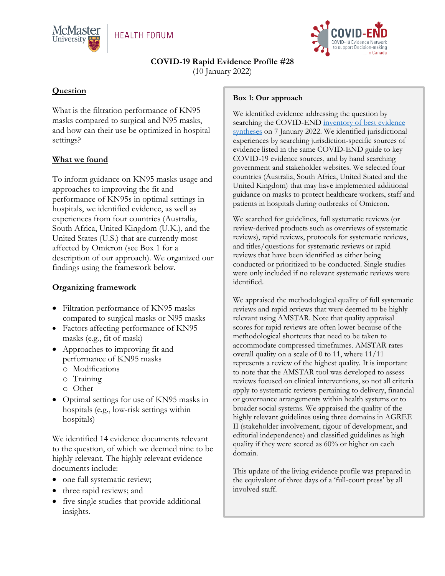



**COVID-19 Rapid Evidence Profile #28**

(10 January 2022)

## **Question**

What is the filtration performance of KN95 masks compared to surgical and N95 masks, and how can their use be optimized in hospital settings?

# **What we found**

To inform guidance on KN95 masks usage and approaches to improving the fit and performance of KN95s in optimal settings in hospitals, we identified evidence, as well as experiences from four countries (Australia, South Africa, United Kingdom (U.K.), and the United States (U.S.) that are currently most affected by Omicron (see Box 1 for a description of our approach). We organized our findings using the framework below.

### **Organizing framework**

- Filtration performance of KN95 masks compared to surgical masks or N95 masks
- Factors affecting performance of KN95 masks (e.g., fit of mask)
- Approaches to improving fit and performance of KN95 masks
	- o Modifications
	- o Training
	- o Other
- Optimal settings for use of KN95 masks in hospitals (e.g., low-risk settings within hospitals)

We identified 14 evidence documents relevant to the question, of which we deemed nine to be highly relevant. The highly relevant evidence documents include:

- one full systematic review;
- three rapid reviews; and
- five single studies that provide additional insights.

#### **Box 1: Our approach**

We identified evidence addressing the question by searching the COVID-END inventory of best evidence [syntheses](https://www.mcmasterforum.org/networks/covid-end/resources-to-support-decision-makers/Inventory-of-best-evidence-syntheses/context) on 7 January 2022. We identified jurisdictional experiences by searching jurisdiction-specific sources of evidence listed in the same COVID-END guide to key COVID-19 evidence sources, and by hand searching government and stakeholder websites. We selected four countries (Australia, South Africa, United Stated and the United Kingdom) that may have implemented additional guidance on masks to protect healthcare workers, staff and patients in hospitals during outbreaks of Omicron.

We searched for guidelines, full systematic reviews (or review-derived products such as overviews of systematic reviews), rapid reviews, protocols for systematic reviews, and titles/questions for systematic reviews or rapid reviews that have been identified as either being conducted or prioritized to be conducted. Single studies were only included if no relevant systematic reviews were identified.

We appraised the methodological quality of full systematic reviews and rapid reviews that were deemed to be highly relevant using AMSTAR. Note that quality appraisal scores for rapid reviews are often lower because of the methodological shortcuts that need to be taken to accommodate compressed timeframes. AMSTAR rates overall quality on a scale of 0 to 11, where 11/11 represents a review of the highest quality. It is important to note that the AMSTAR tool was developed to assess reviews focused on clinical interventions, so not all criteria apply to systematic reviews pertaining to delivery, financial or governance arrangements within health systems or to broader social systems. We appraised the quality of the highly relevant guidelines using three domains in AGREE II (stakeholder involvement, rigour of development, and editorial independence) and classified guidelines as high quality if they were scored as 60% or higher on each domain.

This update of the living evidence profile was prepared in the equivalent of three days of a 'full-court press' by all involved staff.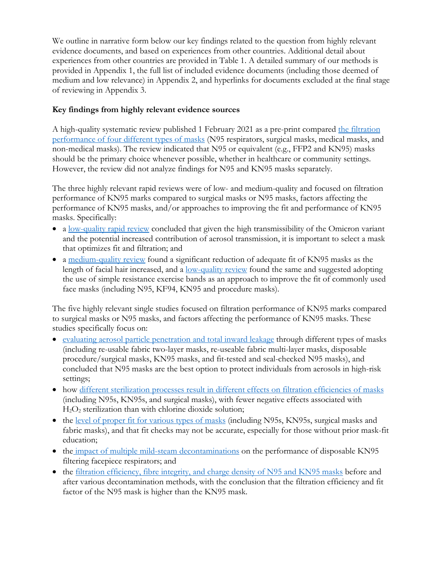We outline in narrative form below our key findings related to the question from highly relevant evidence documents, and based on experiences from other countries. Additional detail about experiences from other countries are provided in Table 1. A detailed summary of our methods is provided in Appendix 1, the full list of included evidence documents (including those deemed of medium and low relevance) in Appendix 2, and hyperlinks for documents excluded at the final stage of reviewing in Appendix 3.

#### **Key findings from highly relevant evidence sources**

A high-quality systematic review published 1 February 2021 as a pre-print compared [the filtration](https://papers.ssrn.com/sol3/papers.cfm?abstract_id=3768550)  [performance of four different types of masks](https://papers.ssrn.com/sol3/papers.cfm?abstract_id=3768550) (N95 respirators, surgical masks, medical masks, and non-medical masks). The review indicated that N95 or equivalent (e.g., FFP2 and KN95) masks should be the primary choice whenever possible, whether in healthcare or community settings. However, the review did not analyze findings for N95 and KN95 masks separately.

The three highly relevant rapid reviews were of low- and medium-quality and focused on filtration performance of KN95 marks compared to surgical masks or N95 masks, factors affecting the performance of KN95 masks, and/or approaches to improving the fit and performance of KN95 masks. Specifically:

- a [low-quality rapid review](https://www.publichealthontario.ca/-/media/documents/ncov/voc/2021/12/omicron-variant-community-masking.pdf?sc_lang=en) concluded that given the high transmissibility of the Omicron variant and the potential increased contribution of aerosol transmission, it is important to select a mask that optimizes fit and filtration; and
- a [medium-quality review](https://covid.cadth.ca/infection-control/respirator-device-fit-for-individuals-with-facial-hair/) found a significant reduction of adequate fit of KN95 masks as the length of facial hair increased, and a [low-quality review](https://aci.health.nsw.gov.au/__data/assets/pdf_file/0005/658625/Evidence-Check-Facial-hair-masks-and-COVID-19-transmission.pdf) found the same and suggested adopting the use of simple resistance exercise bands as an approach to improve the fit of commonly used face masks (including N95, KF94, KN95 and procedure masks).

The five highly relevant single studies focused on filtration performance of KN95 marks compared to surgical masks or N95 masks, and factors affecting the performance of KN95 masks. These studies specifically focus on:

- [evaluating aerosol particle penetration and total inward leakage](https://journals.plos.org/plosone/article?id=10.1371/journal.pone.0258191) through different types of masks (including re-usable fabric two-layer masks, re-useable fabric multi-layer masks, disposable procedure/surgical masks, KN95 masks, and fit-tested and seal-checked N95 masks), and concluded that N95 masks are the best option to protect individuals from aerosols in high-risk settings;
- how [different sterilization processes result in different effects on filtration efficiencies of masks](https://jamanetwork.com/journals/jamanetworkopen/fullarticle/2767135) (including N95s, KN95s, and surgical masks), with fewer negative effects associated with  $H<sub>2</sub>O<sub>2</sub>$  sterilization than with chlorine dioxide solution;
- the [level of proper fit for various types of masks](https://journals.plos.org/plosone/article?id=10.1371/journal.pone.0245688) (including N95s, KN95s, surgical masks and fabric masks), and that fit checks may not be accurate, especially for those without prior mask-fit education;
- the [impact of multiple mild-steam decontaminations](https://www.sciencedirect.com/science/article/pii/S259008892100024X) on the performance of disposable KN95 filtering facepiece respirators; and
- the [filtration efficiency, fibre integrity, and charge density of N95 and KN95 masks](https://www.ncbi.nlm.nih.gov/pmc/articles/PMC7359546/#__sec1title) before and after various decontamination methods, with the conclusion that the filtration efficiency and fit factor of the N95 mask is higher than the KN95 mask.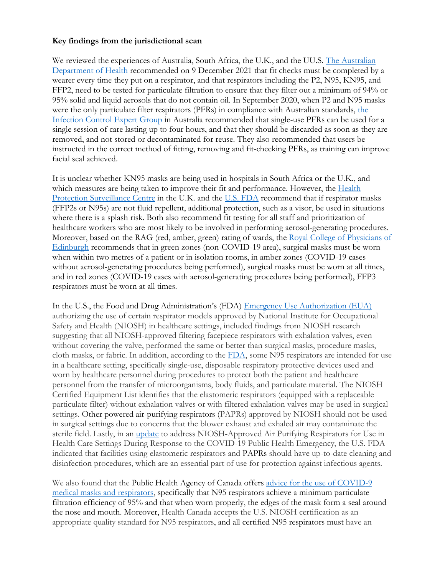#### **Key findings from the jurisdictional scan**

We reviewed the experiences of Australia, South Africa, the U.K., and the UU.S. The Australian [Department of Health](https://www.tga.gov.au/guidance-personal-protective-equipment-health-professionals) recommended on 9 December 2021 that fit checks must be completed by a wearer every time they put on a respirator, and that respirators including the P2, N95, KN95, and FFP2, need to be tested for particulate filtration to ensure that they filter out a minimum of 94% or 95% solid and liquid aerosols that do not contain oil. In September 2020, when P2 and N95 masks were [the](https://www.health.gov.au/sites/default/files/documents/2020/09/the-use-of-face-masks-and-respirators-in-the-context-of-covid-19.pdf) only particulate filter respirators (PFRs) in compliance with Australian standards, the [Infection Control Expert Group](https://www.health.gov.au/sites/default/files/documents/2020/09/the-use-of-face-masks-and-respirators-in-the-context-of-covid-19.pdf) in Australia recommended that single-use PFRs can be used for a single session of care lasting up to four hours, and that they should be discarded as soon as they are removed, and not stored or decontaminated for reuse. They also recommended that users be instructed in the correct method of fitting, removing and fit-checking PFRs, as training can improve facial seal achieved.

It is unclear whether KN95 masks are being used in hospitals in South Africa or the U.K., and which measures are being taken to improve their fit and performance. However, the Health [Protection Surveillance Centre](https://www.hpsc.ie/a-z/respiratory/coronavirus/novelcoronavirus/guidance/infectionpreventionandcontrolguidance/ppe/Current%20recommendations%20for%20the%20use%20of%20PPE.pdf) in the U.K. and the [U.S. FDA](https://www.fda.gov/medical-devices/personal-protective-equipment-infection-control/n95-respirators-surgical-masks-face-masks-and-barrier-face-coverings) recommend that if respirator masks (FFP2s or N95s) are not fluid repellent, additional protection, such as a visor, be used in situations where there is a splash risk. Both also recommend fit testing for all staff and prioritization of healthcare workers who are most likely to be involved in performing aerosol-generating procedures. Moreover, based on the RAG (red, amber, green) rating of wards, the Royal College of Physicians of [Edinburgh](https://www.rcpe.ac.uk/sites/default/files/library_papers/managing_the_covid-19_pandemic_final.pdf) recommends that in green zones (non-COVID-19 area), surgical masks must be worn when within two metres of a patient or in isolation rooms, in amber zones (COVID-19 cases without aerosol-generating procedures being performed), surgical masks must be worn at all times, and in red zones (COVID-19 cases with aerosol-generating procedures being performed), FFP3 respirators must be worn at all times.

In the U.S., the Food and Drug Administration's (FDA) [Emergency Use Authorization \(EUA\)](https://www.fda.gov/medical-devices/coronavirus-disease-2019-covid-19-emergency-use-authorizations-medical-devices/personal-protective-equipment-euas#respirators) authorizing the use of certain respirator models approved by National Institute for Occupational Safety and Health (NIOSH) in healthcare settings, included findings from [NIOSH research](https://www.cdc.gov/niosh/docs/2021-107/default.html) suggesting that all NIOSH-approved filtering facepiece respirators with exhalation valves, even without covering the valve, performed the same or better than surgical masks, procedure masks, cloth masks, or fabric. In addition, according to the  $FDA$ , some N95 respirators are intended for use in a healthcare setting, specifically single-use, disposable respiratory protective devices used and worn by healthcare personnel during procedures to protect both the patient and healthcare personnel from the transfer of microorganisms, body fluids, and particulate material. The [NIOSH](https://www2a.cdc.gov/drds/cel/cel_form_code.asp)  [Certified Equipment List](https://www2a.cdc.gov/drds/cel/cel_form_code.asp) identifies that the elastomeric respirators (equipped with a replaceable particulate filter) without exhalation valves or with filtered exhalation valves may be used in surgical settings. Other powered air-purifying respirators [\(PAPRs\)](https://www.cdc.gov/coronavirus/2019-ncov/hcp/ppe-strategy/powered-air-purifying-respirators-strategy.html) approved by NIOSH should not be used in surgical settings due to concerns that the blower exhaust and exhaled air may contaminate the sterile field. Lastly, in an [update](https://www.fda.gov/medical-devices/coronavirus-disease-2019-covid-19-emergency-use-authorizations-medical-devices/personal-protective-equipment-euas#respirators) to address [NIOSH-Approved Air Purifying Respirators for Use in](https://www.fda.gov/media/135763/download)  [Health Care Settings During Response to the COVID-19 Public Health Emergency,](https://www.fda.gov/media/135763/download) the U.S. FDA indicated that facilities using elastomeric respirators and PAPRs should have up-to-date cleaning and disinfection procedures, which are an essential part of use for protection against infectious agents.

We also found that the Public Health Agency of Canada offers advice for the use of COVID-9 [medical masks and respirators,](https://www.canada.ca/en/health-canada/services/drugs-health-products/covid19-industry/medical-devices/personal-protective-equipment/medical-masks-respirators/health-professionals.html) specifically that N95 respirators achieve a minimum particulate filtration efficiency of 95% and that when worn properly, the edges of the mask form a seal around the nose and mouth. Moreover, Health Canada accepts the U.S. NIOSH certification as an appropriate quality standard for N95 respirators, and all certified N95 respirators must have an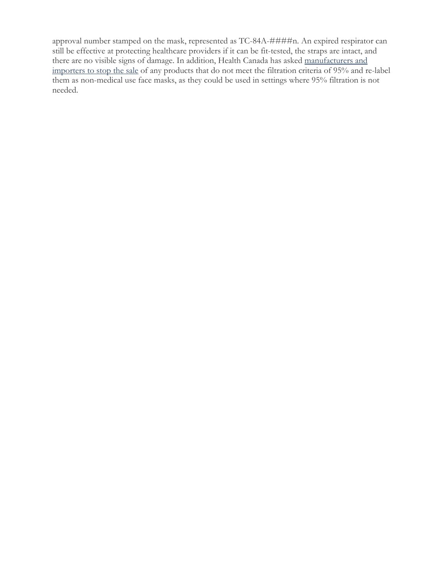approval number stamped on the mask, represented as TC-84A-####n. An expired respirator can still be effective at protecting healthcare providers if it can be fit-tested, the straps are intact, and there are no visible signs of damage. In addition, Health Canada has asked [manufacturers and](https://healthycanadians.gc.ca/recall-alert-rappel-avis/hc-sc/2020/73063a-eng.php)  [importers to stop the sale](https://healthycanadians.gc.ca/recall-alert-rappel-avis/hc-sc/2020/73063a-eng.php) of any products that do not meet the filtration criteria of 95% and re-label them as non-medical use face masks, as they could be used in settings where 95% filtration is not needed.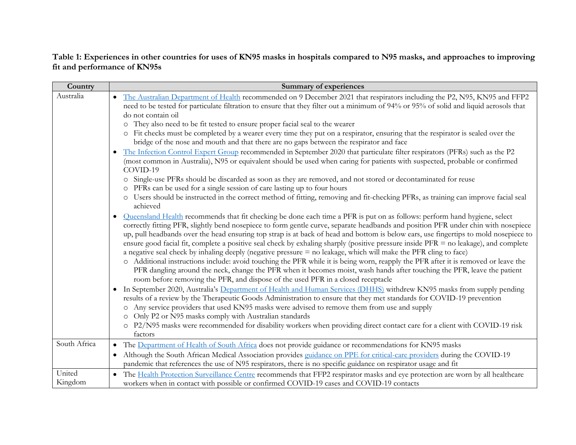**Table 1: Experiences in other countries for uses of KN95 masks in hospitals compared to N95 masks, and approaches to improving fit and performance of KN95s** 

| Country           | <b>Summary of experiences</b>                                                                                                                                                                                                                                                                                                                                                                                                                                                                                                                                                                                                                                                                                                                                                                                                                                                                                                                                                                                                                                                                                                                                                                                                                                                                         |
|-------------------|-------------------------------------------------------------------------------------------------------------------------------------------------------------------------------------------------------------------------------------------------------------------------------------------------------------------------------------------------------------------------------------------------------------------------------------------------------------------------------------------------------------------------------------------------------------------------------------------------------------------------------------------------------------------------------------------------------------------------------------------------------------------------------------------------------------------------------------------------------------------------------------------------------------------------------------------------------------------------------------------------------------------------------------------------------------------------------------------------------------------------------------------------------------------------------------------------------------------------------------------------------------------------------------------------------|
| Australia         | The Australian Department of Health recommended on 9 December 2021 that respirators including the P2, N95, KN95 and FFP2<br>need to be tested for particulate filtration to ensure that they filter out a minimum of 94% or 95% of solid and liquid aerosols that<br>do not contain oil<br>They also need to be fit tested to ensure proper facial seal to the wearer<br>$\circ$<br>Fit checks must be completed by a wearer every time they put on a respirator, ensuring that the respirator is sealed over the<br>bridge of the nose and mouth and that there are no gaps between the respirator and face<br>The Infection Control Expert Group recommended in September 2020 that particulate filter respirators (PFRs) such as the P2<br>$\bullet$<br>(most common in Australia), N95 or equivalent should be used when caring for patients with suspected, probable or confirmed<br>COVID-19<br>o Single-use PFRs should be discarded as soon as they are removed, and not stored or decontaminated for reuse<br>o PFRs can be used for a single session of care lasting up to four hours<br>O Users should be instructed in the correct method of fitting, removing and fit-checking PFRs, as training can improve facial seal<br>achieved                                                     |
|                   | Queensland Health recommends that fit checking be done each time a PFR is put on as follows: perform hand hygiene, select<br>$\bullet$<br>correctly fitting PFR, slightly bend nosepiece to form gentle curve, separate headbands and position PFR under chin with nosepiece<br>up, pull headbands over the head ensuring top strap is at back of head and bottom is below ears, use fingertips to mold nosepiece to<br>ensure good facial fit, complete a positive seal check by exhaling sharply (positive pressure inside PFR = no leakage), and complete<br>a negative seal check by inhaling deeply (negative pressure = no leakage, which will make the PFR cling to face)<br>o Additional instructions include: avoid touching the PFR while it is being worn, reapply the PFR after it is removed or leave the<br>PFR dangling around the neck, change the PFR when it becomes moist, wash hands after touching the PFR, leave the patient<br>room before removing the PFR, and dispose of the used PFR in a closed receptacle<br>In September 2020, Australia's Department of Health and Human Services (DHHS) withdrew KN95 masks from supply pending<br>$\bullet$<br>results of a review by the Therapeutic Goods Administration to ensure that they met standards for COVID-19 prevention |
|                   | o Any service providers that used KN95 masks were advised to remove them from use and supply<br>Only P2 or N95 masks comply with Australian standards<br>o P2/N95 masks were recommended for disability workers when providing direct contact care for a client with COVID-19 risk<br>factors                                                                                                                                                                                                                                                                                                                                                                                                                                                                                                                                                                                                                                                                                                                                                                                                                                                                                                                                                                                                         |
| South Africa      | • The Department of Health of South Africa does not provide guidance or recommendations for KN95 masks<br>Although the South African Medical Association provides guidance on PPE for critical-care providers during the COVID-19<br>pandemic that references the use of N95 respirators, there is no specific guidance on respirator usage and fit                                                                                                                                                                                                                                                                                                                                                                                                                                                                                                                                                                                                                                                                                                                                                                                                                                                                                                                                                   |
| United<br>Kingdom | • The Health Protection Surveillance Centre recommends that FFP2 respirator masks and eye protection are worn by all healthcare<br>workers when in contact with possible or confirmed COVID-19 cases and COVID-19 contacts                                                                                                                                                                                                                                                                                                                                                                                                                                                                                                                                                                                                                                                                                                                                                                                                                                                                                                                                                                                                                                                                            |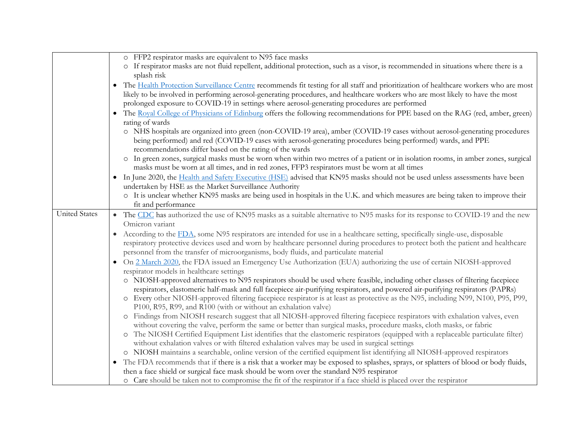|                      | o FFP2 respirator masks are equivalent to N95 face masks                                                                                                                                                                                                                                                                                                                                                                                                                                                                                                                                                                                                                                                                                                                                                                                                                                                                                                                            |
|----------------------|-------------------------------------------------------------------------------------------------------------------------------------------------------------------------------------------------------------------------------------------------------------------------------------------------------------------------------------------------------------------------------------------------------------------------------------------------------------------------------------------------------------------------------------------------------------------------------------------------------------------------------------------------------------------------------------------------------------------------------------------------------------------------------------------------------------------------------------------------------------------------------------------------------------------------------------------------------------------------------------|
|                      | o If respirator masks are not fluid repellent, additional protection, such as a visor, is recommended in situations where there is a<br>splash risk                                                                                                                                                                                                                                                                                                                                                                                                                                                                                                                                                                                                                                                                                                                                                                                                                                 |
|                      | The Health Protection Surveillance Centre recommends fit testing for all staff and prioritization of healthcare workers who are most<br>$\bullet$<br>likely to be involved in performing aerosol-generating procedures, and healthcare workers who are most likely to have the most<br>prolonged exposure to COVID-19 in settings where aerosol-generating procedures are performed<br>The Royal College of Physicians of Edinburg offers the following recommendations for PPE based on the RAG (red, amber, green)<br>rating of wards<br>o NHS hospitals are organized into green (non-COVID-19 area), amber (COVID-19 cases without aerosol-generating procedures<br>being performed) and red (COVID-19 cases with aerosol-generating procedures being performed) wards, and PPE<br>recommendations differ based on the rating of the wards<br>o In green zones, surgical masks must be worn when within two metres of a patient or in isolation rooms, in amber zones, surgical |
|                      | masks must be worn at all times, and in red zones, FFP3 respirators must be worn at all times<br>• In June 2020, the Health and Safety Executive (HSE) advised that KN95 masks should not be used unless assessments have been<br>undertaken by HSE as the Market Surveillance Authority<br>o It is unclear whether KN95 masks are being used in hospitals in the U.K. and which measures are being taken to improve their<br>fit and performance                                                                                                                                                                                                                                                                                                                                                                                                                                                                                                                                   |
| <b>United States</b> | • The CDC has authorized the use of KN95 masks as a suitable alternative to N95 masks for its response to COVID-19 and the new<br>Omicron variant                                                                                                                                                                                                                                                                                                                                                                                                                                                                                                                                                                                                                                                                                                                                                                                                                                   |
|                      | According to the FDA, some N95 respirators are intended for use in a healthcare setting, specifically single-use, disposable<br>respiratory protective devices used and worn by healthcare personnel during procedures to protect both the patient and healthcare<br>personnel from the transfer of microorganisms, body fluids, and particulate material                                                                                                                                                                                                                                                                                                                                                                                                                                                                                                                                                                                                                           |
|                      | On 2 March 2020, the FDA issued an Emergency Use Authorization (EUA) authorizing the use of certain NIOSH-approved<br>$\bullet$<br>respirator models in healthcare settings                                                                                                                                                                                                                                                                                                                                                                                                                                                                                                                                                                                                                                                                                                                                                                                                         |
|                      | o NIOSH-approved alternatives to N95 respirators should be used where feasible, including other classes of filtering facepiece<br>respirators, elastomeric half-mask and full facepiece air-purifying respirators, and powered air-purifying respirators (PAPRs)<br>o Every other NIOSH-approved filtering facepiece respirator is at least as protective as the N95, including N99, N100, P95, P99,<br>P100, R95, R99, and R100 (with or without an exhalation valve)                                                                                                                                                                                                                                                                                                                                                                                                                                                                                                              |
|                      | o Findings from NIOSH research suggest that all NIOSH-approved filtering facepiece respirators with exhalation valves, even<br>without covering the valve, perform the same or better than surgical masks, procedure masks, cloth masks, or fabric<br>o The NIOSH Certified Equipment List identifies that the elastomeric respirators (equipped with a replaceable particulate filter)<br>without exhalation valves or with filtered exhalation valves may be used in surgical settings                                                                                                                                                                                                                                                                                                                                                                                                                                                                                            |
|                      | o NIOSH maintains a searchable, online version of the certified equipment list identifying all NIOSH-approved respirators                                                                                                                                                                                                                                                                                                                                                                                                                                                                                                                                                                                                                                                                                                                                                                                                                                                           |
|                      | The FDA recommends that if there is a risk that a worker may be exposed to splashes, sprays, or splatters of blood or body fluids,<br>$\bullet$<br>then a face shield or surgical face mask should be worn over the standard N95 respirator                                                                                                                                                                                                                                                                                                                                                                                                                                                                                                                                                                                                                                                                                                                                         |
|                      | o Care should be taken not to compromise the fit of the respirator if a face shield is placed over the respirator                                                                                                                                                                                                                                                                                                                                                                                                                                                                                                                                                                                                                                                                                                                                                                                                                                                                   |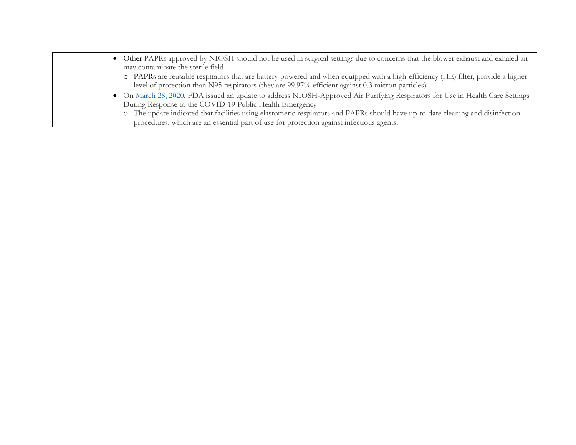| • Other PAPRs approved by NIOSH should not be used in surgical settings due to concerns that the blower exhaust and exhaled air  |
|----------------------------------------------------------------------------------------------------------------------------------|
| may contaminate the sterile field                                                                                                |
| o PAPRs are reusable respirators that are battery-powered and when equipped with a high-efficiency (HE) filter, provide a higher |
| level of protection than N95 respirators (they are 99.97% efficient against 0.3 micron particles)                                |
| • On March 28, 2020, FDA issued an update to address NIOSH-Approved Air Purifying Respirators for Use in Health Care Settings    |
| During Response to the COVID-19 Public Health Emergency                                                                          |
| o The update indicated that facilities using elastomeric respirators and PAPRs should have up-to-date cleaning and disinfection  |
| procedures, which are an essential part of use for protection against infectious agents.                                         |